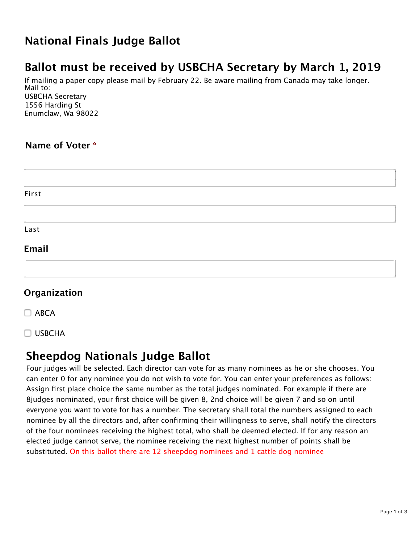# **National Finals Judge Ballot**

# **Ballot must be received by USBCHA Secretary by March 1, 2019**

If mailing a paper copy please mail by February 22. Be aware mailing from Canada may take longer. Mail to: USBCHA Secretary 1556 Harding St Enumclaw, Wa 98022

## **Name of Voter \***

| First |  |  |  |
|-------|--|--|--|
|       |  |  |  |
| Last  |  |  |  |
| Email |  |  |  |
|       |  |  |  |

## **Organization**

 $\Box$  ABCA

**USBCHA** 

## **Sheepdog Nationals Judge Ballot**

Four judges will be selected. Each director can vote for as many nominees as he or she chooses. You can enter 0 for any nominee you do not wish to vote for. You can enter your preferences as follows: Assign first place choice the same number as the total judges nominated. For example if there are 8judges nominated, your first choice will be given 8, 2nd choice will be given 7 and so on until everyone you want to vote for has a number. The secretary shall total the numbers assigned to each nominee by all the directors and, after confirming their willingness to serve, shall notify the directors of the four nominees receiving the highest total, who shall be deemed elected. If for any reason an elected judge cannot serve, the nominee receiving the next highest number of points shall be substituted. On this ballot there are 12 sheepdog nominees and 1 cattle dog nominee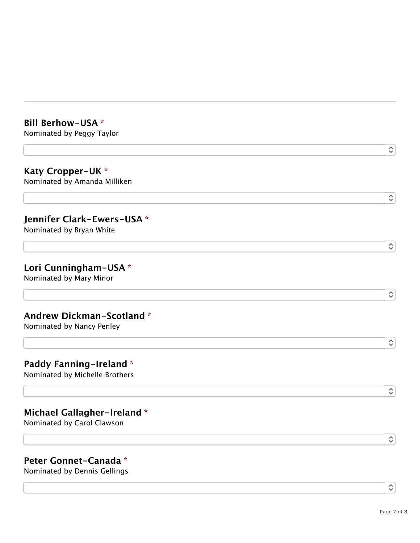#### **Bill Berhow-USA \***

Nominated by Peggy Taylor

#### **Katy Cropper-UK \*** Nominated by Amanda Milliken

#### **Jennifer Clark-Ewers-USA \***

Nominated by Bryan White

#### **Lori Cunningham-USA \***

Nominated by Mary Minor

#### **Andrew Dickman-Scotland \***

Nominated by Nancy Penley

### **Paddy Fanning-Ireland \***

Nominated by Michelle Brothers

## **Michael Gallagher-Ireland \***

Nominated by Carol Clawson

## **Peter Gonnet-Canada \***

Nominated by Dennis Gellings

≎

 $\hat{\cdot}$ 

≎

 $\hat{\cdot}$ 

≎

≎

 $\hat{\boldsymbol{\varsigma}}$ 

 $\hat{\cdot}$